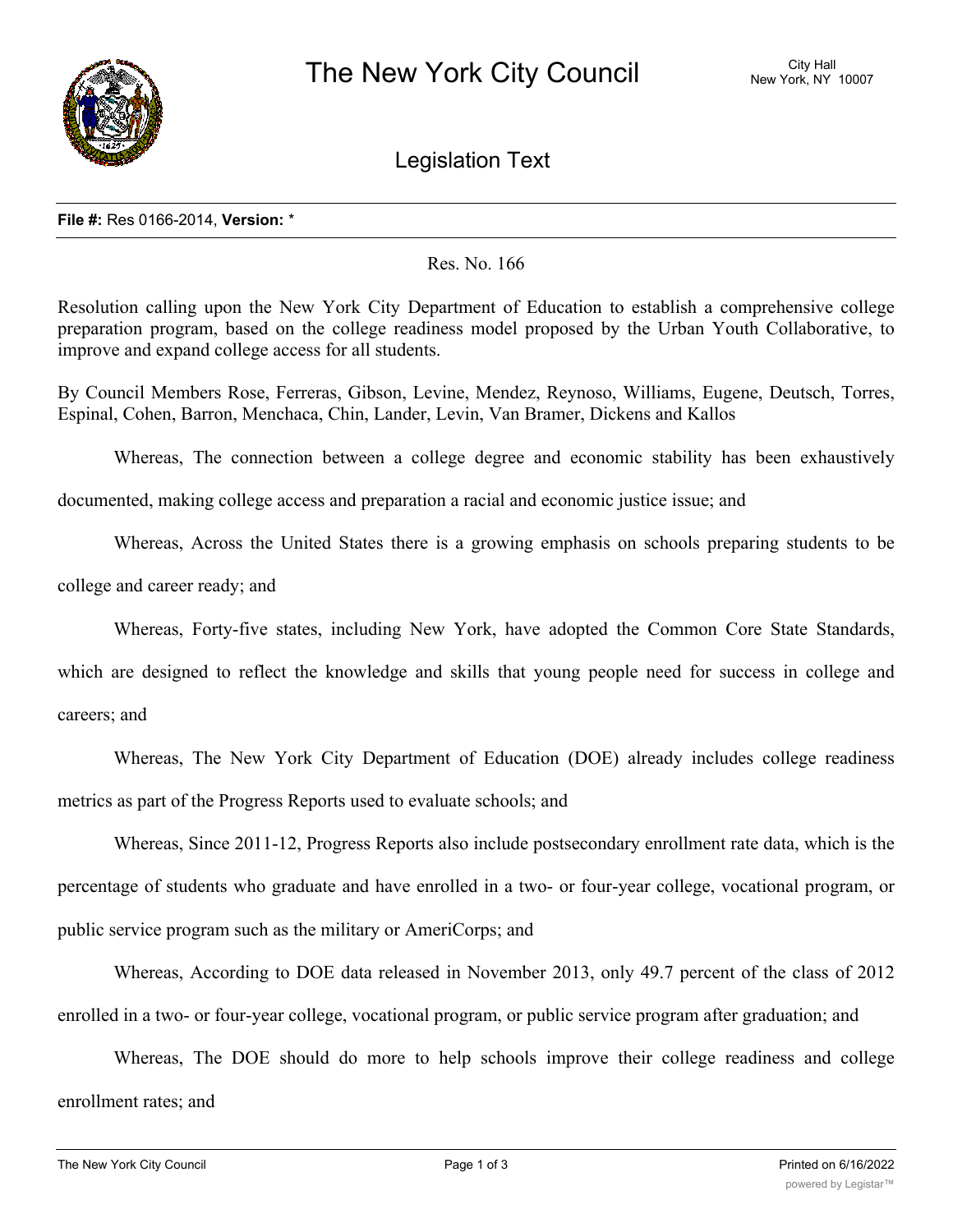

Legislation Text

## **File #:** Res 0166-2014, **Version:** \*

Res. No. 166

Resolution calling upon the New York City Department of Education to establish a comprehensive college preparation program, based on the college readiness model proposed by the Urban Youth Collaborative, to improve and expand college access for all students.

By Council Members Rose, Ferreras, Gibson, Levine, Mendez, Reynoso, Williams, Eugene, Deutsch, Torres, Espinal, Cohen, Barron, Menchaca, Chin, Lander, Levin, Van Bramer, Dickens and Kallos

Whereas, The connection between a college degree and economic stability has been exhaustively

documented, making college access and preparation a racial and economic justice issue; and

Whereas, Across the United States there is a growing emphasis on schools preparing students to be

college and career ready; and

Whereas, Forty-five states, including New York, have adopted the Common Core State Standards,

which are designed to reflect the knowledge and skills that young people need for success in college and careers; and

Whereas, The New York City Department of Education (DOE) already includes college readiness metrics as part of the Progress Reports used to evaluate schools; and

Whereas, Since 2011-12, Progress Reports also include postsecondary enrollment rate data, which is the percentage of students who graduate and have enrolled in a two- or four-year college, vocational program, or public service program such as the military or AmeriCorps; and

Whereas, According to DOE data released in November 2013, only 49.7 percent of the class of 2012 enrolled in a two- or four-year college, vocational program, or public service program after graduation; and

Whereas, The DOE should do more to help schools improve their college readiness and college enrollment rates; and

 $W_{\rm C}$  ,  $W_{\rm C}$  ,  $W_{\rm C}$  ,  $W_{\rm C}$  is largest york City's largest youth-led organization, has been interested or gain  $W_{\rm C}$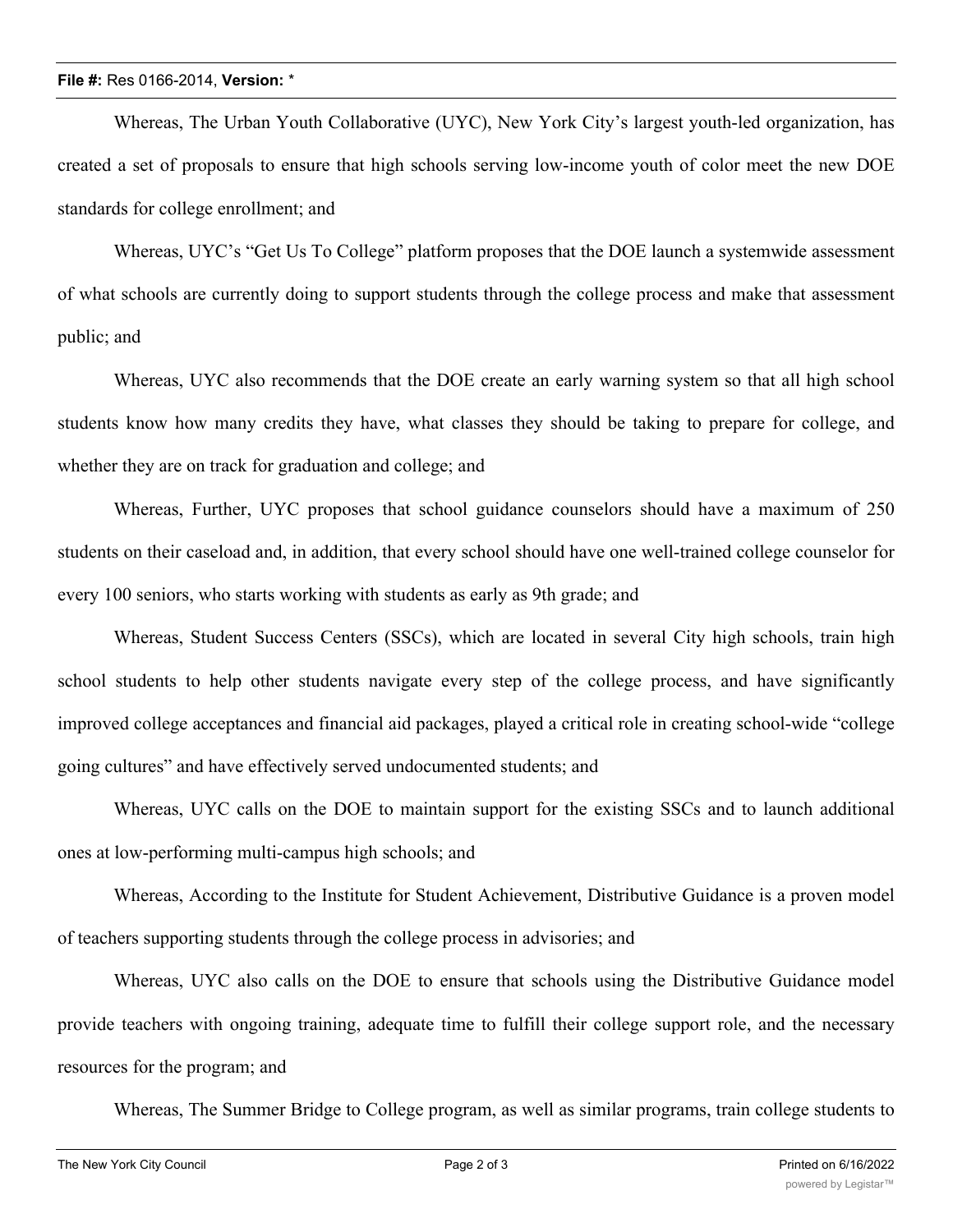Whereas, The Urban Youth Collaborative (UYC), New York City's largest youth-led organization, has created a set of proposals to ensure that high schools serving low-income youth of color meet the new DOE standards for college enrollment; and

Whereas, UYC's "Get Us To College" platform proposes that the DOE launch a systemwide assessment of what schools are currently doing to support students through the college process and make that assessment public; and

Whereas, UYC also recommends that the DOE create an early warning system so that all high school students know how many credits they have, what classes they should be taking to prepare for college, and whether they are on track for graduation and college; and

Whereas, Further, UYC proposes that school guidance counselors should have a maximum of 250 students on their caseload and, in addition, that every school should have one well-trained college counselor for every 100 seniors, who starts working with students as early as 9th grade; and

Whereas, Student Success Centers (SSCs), which are located in several City high schools, train high school students to help other students navigate every step of the college process, and have significantly improved college acceptances and financial aid packages, played a critical role in creating school-wide "college going cultures" and have effectively served undocumented students; and

Whereas, UYC calls on the DOE to maintain support for the existing SSCs and to launch additional ones at low-performing multi-campus high schools; and

Whereas, According to the Institute for Student Achievement, Distributive Guidance is a proven model of teachers supporting students through the college process in advisories; and

Whereas, UYC also calls on the DOE to ensure that schools using the Distributive Guidance model provide teachers with ongoing training, adequate time to fulfill their college support role, and the necessary resources for the program; and

Whereas, The Summer Bridge to College program, as well as similar programs, train college students to